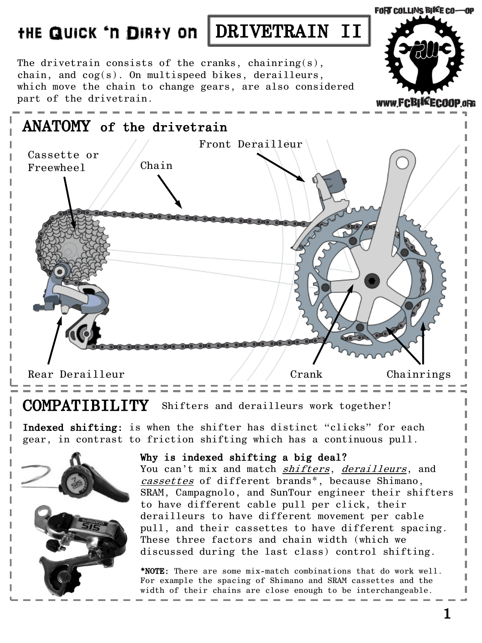The drivetrain consists of the cranks, chainring(s), chain, and cog(s). On multispeed bikes, derailleurs, which move the chain to change gears, are also considered

part of the drivetrain.



#### COMPATIBILITY Shifters and derailleurs work together!

Indexed shifting: is when the shifter has distinct "clicks" for each gear, in contrast to friction shifting which has a continuous pull.



#### Why is indexed shifting a big deal?

You can't mix and match shifters, derailleurs, and cassettes of different brands\*, because Shimano, SRAM, Campagnolo, and SunTour engineer their shifters to have different cable pull per click, their derailleurs to have different movement per cable pull, and their cassettes to have different spacing. These three factors and chain width (which we discussed during the last class) control shifting.

\*NOTE: There are some mix-match combinations that do work well. For example the spacing of Shimano and SRAM cassettes and the width of their chains are close enough to be interchangeable.

**FORT COLLINS BIKE CO-OP**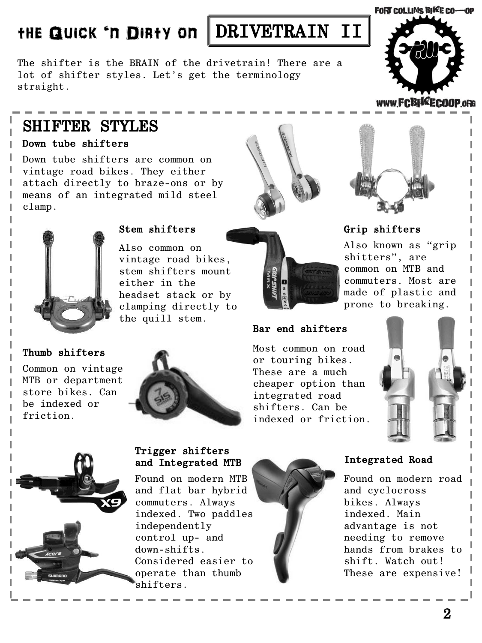### FORT COLLINS BIKE CO-OP

# THE QUICK 'N DIRTY ON DRIVETRAIN II

The shifter is the BRAIN of the drivetrain! There are a lot of shifter styles. Let's get the terminology straight.



### www.FCBIKEC00P.oRG

## SHIFTER STYLES

#### Down tube shifters

Down tube shifters are common on vintage road bikes. They either attach directly to braze-ons or by means of an integrated mild steel clamp.



### Stem shifters

Also common on vintage road bikes, stem shifters mount either in the headset stack or by clamping directly to the quill stem.

### Thumb shifters

I

Common on vintage MTB or department store bikes. Can be indexed or friction.





integrated road shifters. Can be indexed or friction.

### Grip shifters

Also known as "grip shitters", are common on MTB and commuters. Most are made of plastic and prone to breaking.





#### Trigger shifters and Integrated MTB

Found on modern MTB and flat bar hybrid commuters. Always indexed. Two paddles independently control up- and down-shifts. Considered easier to operate than thumb shifters.



#### Integrated Road

Found on modern road and cyclocross bikes. Always indexed. Main advantage is not needing to remove hands from brakes to shift. Watch out! These are expensive!

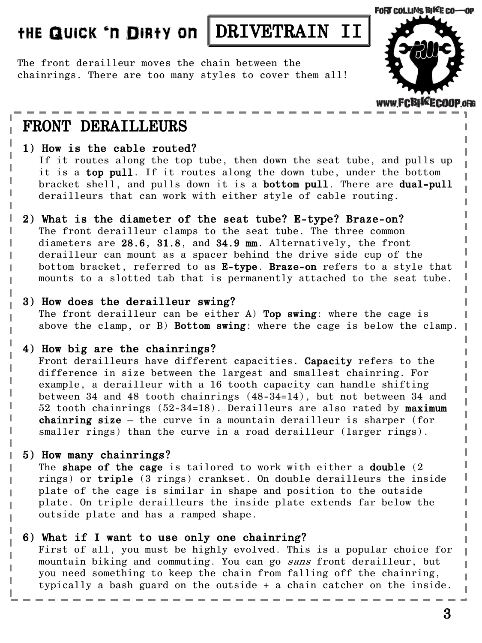The front derailleur moves the chain between the chainrings. There are too many styles to cover them all!



#### www.FCBIKEC00

## FRONT DERAILLEURS

#### 1) How is the cable routed?

If it routes along the top tube, then down the seat tube, and pulls up it is a top pull. If it routes along the down tube, under the bottom bracket shell, and pulls down it is a bottom pull. There are dual-pull derailleurs that can work with either style of cable routing.

#### 2) What is the diameter of the seat tube? E-type? Braze-on?

The front derailleur clamps to the seat tube. The three common diameters are 28.6, 31.8, and 34.9 mm. Alternatively, the front derailleur can mount as a spacer behind the drive side cup of the bottom bracket, referred to as E-type. Braze-on refers to a style that mounts to a slotted tab that is permanently attached to the seat tube.

#### 3) How does the derailleur swing?

The front derailleur can be either  $A$ ) Top swing: where the cage is above the clamp, or B) Bottom swing: where the cage is below the clamp.

### 4) How big are the chainrings?

Front derailleurs have different capacities. Capacity refers to the difference in size between the largest and smallest chainring. For example, a derailleur with a 16 tooth capacity can handle shifting between 34 and 48 tooth chainrings (48-34=14), but not between 34 and 52 tooth chainrings  $(52-34=18)$ . Derailleurs are also rated by maximum chainring size – the curve in a mountain derailleur is sharper (for smaller rings) than the curve in a road derailleur (larger rings).

### 5) How many chainrings?

The shape of the cage is tailored to work with either a double (2) rings) or triple (3 rings) crankset. On double derailleurs the inside plate of the cage is similar in shape and position to the outside plate. On triple derailleurs the inside plate extends far below the outside plate and has a ramped shape.

#### 6) What if I want to use only one chainring?

First of all, you must be highly evolved. This is a popular choice for mountain biking and commuting. You can go sans front derailleur, but you need something to keep the chain from falling off the chainring, typically a bash guard on the outside + a chain catcher on the inside.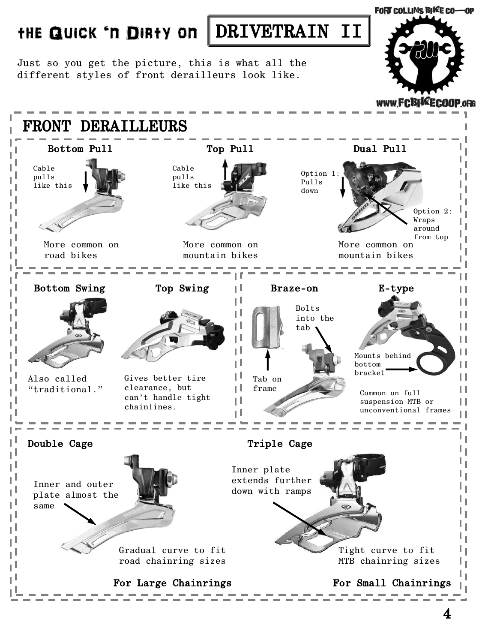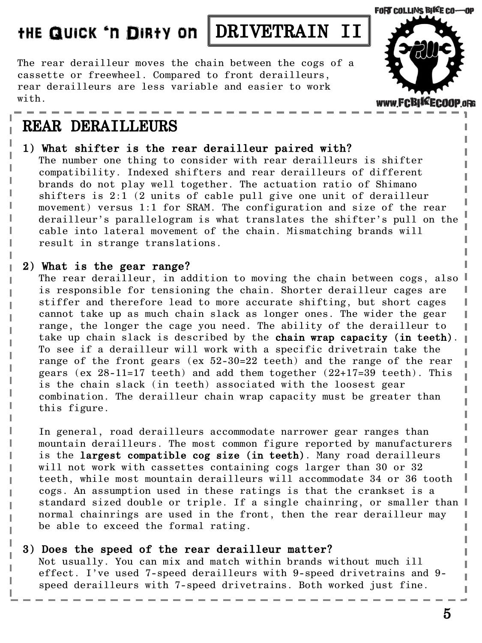The rear derailleur moves the chain between the cogs of a cassette or freewheel. Compared to front derailleurs, rear derailleurs are less variable and easier to work with.

## REAR DERAILLEURS

1) What shifter is the rear derailleur paired with? The number one thing to consider with rear derailleurs is shifter compatibility. Indexed shifters and rear derailleurs of different brands do not play well together. The actuation ratio of Shimano shifters is 2:1 (2 units of cable pull give one unit of derailleur movement) versus 1:1 for SRAM. The configuration and size of the rear derailleur's parallelogram is what translates the shifter's pull on the cable into lateral movement of the chain. Mismatching brands will result in strange translations.

#### 2) What is the gear range?

The rear derailleur, in addition to moving the chain between cogs, also is responsible for tensioning the chain. Shorter derailleur cages are stiffer and therefore lead to more accurate shifting, but short cages cannot take up as much chain slack as longer ones. The wider the gear range, the longer the cage you need. The ability of the derailleur to take up chain slack is described by the chain wrap capacity (in teeth). To see if a derailleur will work with a specific drivetrain take the range of the front gears (ex 52-30=22 teeth) and the range of the rear gears (ex  $28-11=17$  teeth) and add them together  $(22+17=39$  teeth). This is the chain slack (in teeth) associated with the loosest gear combination. The derailleur chain wrap capacity must be greater than this figure.

In general, road derailleurs accommodate narrower gear ranges than mountain derailleurs. The most common figure reported by manufacturers is the largest compatible cog size (in teeth). Many road derailleurs will not work with cassettes containing cogs larger than 30 or 32 teeth, while most mountain derailleurs will accommodate 34 or 36 tooth cogs. An assumption used in these ratings is that the crankset is a standard sized double or triple. If a single chainring, or smaller than normal chainrings are used in the front, then the rear derailleur may be able to exceed the formal rating.

#### 3) Does the speed of the rear derailleur matter?

Not usually. You can mix and match within brands without much ill effect. I've used 7-speed derailleurs with 9-speed drivetrains and 9 speed derailleurs with 7-speed drivetrains. Both worked just fine.



www FCBHKECO